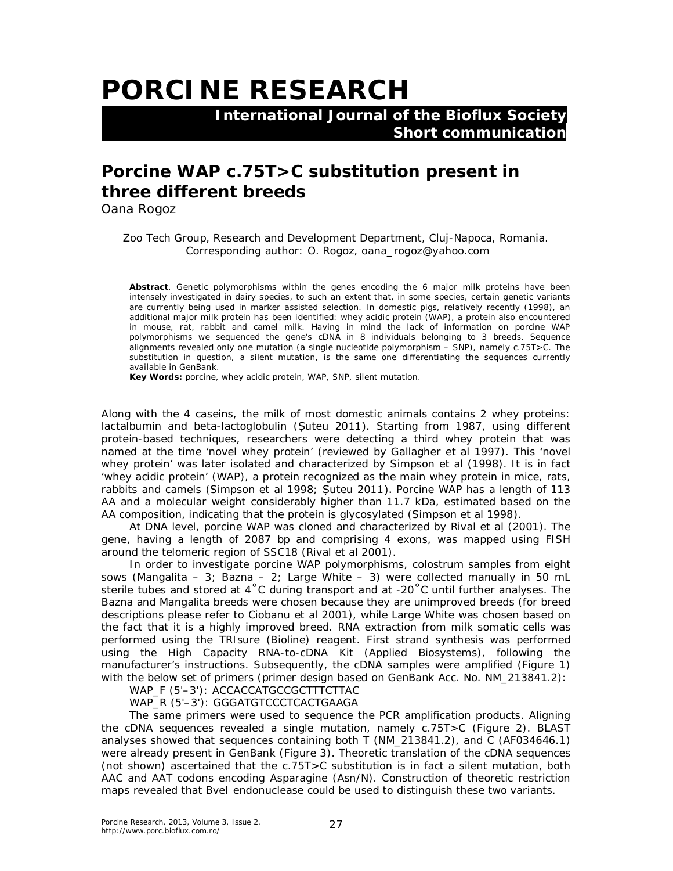## **PORCINE RESEARCH**

 **International Journal of the Bioflux Society Short communication**

## **Porcine** *WAP* **c.75T>C substitution present in three different breeds**

Oana Rogoz

Zoo Tech Group, Research and Development Department, Cluj-Napoca, Romania. Corresponding author: O. Rogoz, oana\_rogoz@yahoo.com

**Abstract**. Genetic polymorphisms within the genes encoding the 6 major milk proteins have been intensely investigated in dairy species, to such an extent that, in some species, certain genetic variants are currently being used in marker assisted selection. In domestic pigs, relatively recently (1998), an additional major milk protein has been identified: whey acidic protein (WAP), a protein also encountered in mouse, rat, rabbit and camel milk. Having in mind the lack of information on porcine WAP polymorphisms we sequenced the gene's cDNA in 8 individuals belonging to 3 breeds. Sequence alignments revealed only one mutation (a single nucleotide polymorphism – SNP), namely c.75T>C. The substitution in question, a silent mutation, is the same one differentiating the sequences currently available in GenBank.

**Key Words:** porcine, whey acidic protein, *WAP*, SNP, silent mutation.

Along with the 4 caseins, the milk of most domestic animals contains 2 whey proteins: lactalbumin and beta-lactoglobulin (Șuteu 2011). Starting from 1987, using different protein-based techniques, researchers were detecting a third whey protein that was named at the time 'novel whey protein' (reviewed by Gallagher et al 1997). This 'novel whey protein' was later isolated and characterized by Simpson et al (1998). It is in fact 'whey acidic protein' (WAP), a protein recognized as the main whey protein in mice, rats, rabbits and camels (Simpson et al 1998; Șuteu 2011). Porcine WAP has a length of 113 AA and a molecular weight considerably higher than 11.7 kDa, estimated based on the AA composition, indicating that the protein is glycosylated (Simpson et al 1998).

At DNA level, porcine *WAP* was cloned and characterized by Rival et al (2001). The gene, having a length of 2087 bp and comprising 4 exons, was mapped using FISH around the telomeric region of SSC18 (Rival et al 2001).

In order to investigate porcine *WAP* polymorphisms, colostrum samples from eight sows (Mangalita – 3; Bazna – 2; Large White – 3) were collected manually in 50 mL sterile tubes and stored at 4˚C during transport and at -20˚C until further analyses. The Bazna and Mangalita breeds were chosen because they are unimproved breeds (for breed descriptions please refer to Ciobanu et al 2001), while Large White was chosen based on the fact that it is a highly improved breed. RNA extraction from milk somatic cells was performed using the TRIsure (Bioline) reagent. First strand synthesis was performed using the High Capacity RNA-to-cDNA Kit (Applied Biosystems), following the manufacturer's instructions. Subsequently, the cDNA samples were amplified (Figure 1) with the below set of primers (primer design based on GenBank Acc. No. NM\_213841.2):

WAP\_F (5'-3'): ACCACCATGCCGCTTTCTTAC

WAP\_R (5'-3'): GGGATGTCCCTCACTGAAGA

The same primers were used to sequence the PCR amplification products. Aligning the cDNA sequences revealed a single mutation, namely c.75T>C (Figure 2). BLAST analyses showed that sequences containing both T (NM\_213841.2), and C (AF034646.1) were already present in GenBank (Figure 3). Theoretic translation of the cDNA sequences (not shown) ascertained that the c.75T>C substitution is in fact a silent mutation, both AAC and AAT codons encoding Asparagine (Asn/N). Construction of theoretic restriction maps revealed that *Bve*I endonuclease could be used to distinguish these two variants.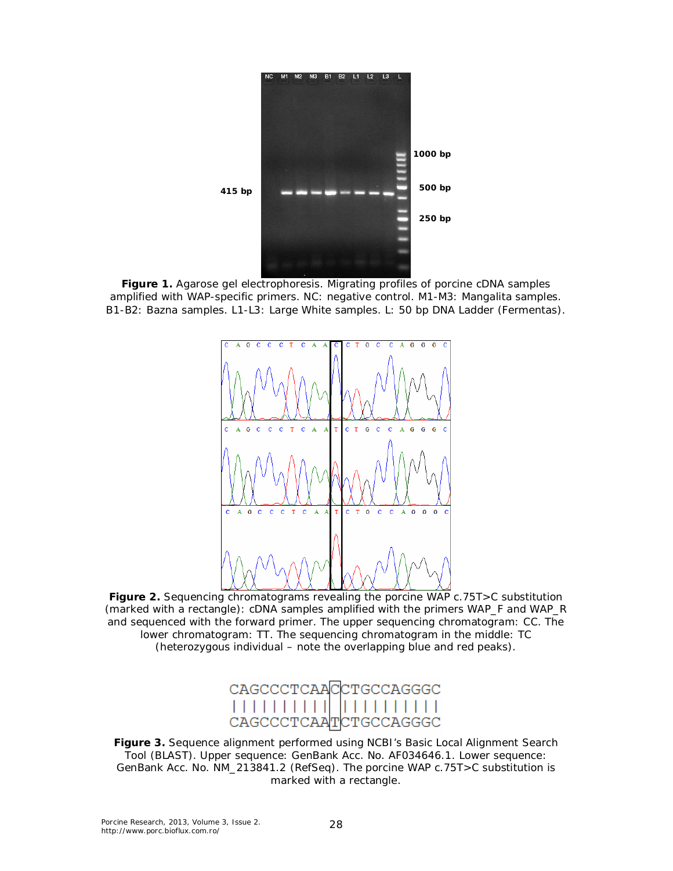

**Figure 1.** Agarose gel electrophoresis. Migrating profiles of porcine cDNA samples amplified with *WAP*-specific primers. NC: negative control. M1-M3: Mangalita samples. B1-B2: Bazna samples. L1-L3: Large White samples. L: 50 bp DNA Ladder (Fermentas).



**Figure 2.** Sequencing chromatograms revealing the porcine *WAP* c.75T>C substitution (marked with a rectangle): cDNA samples amplified with the primers WAP\_F and WAP\_R and sequenced with the forward primer. The upper sequencing chromatogram: CC. The lower chromatogram: TT. The sequencing chromatogram in the middle: TC (heterozygous individual – note the overlapping blue and red peaks).



**Figure 3.** Sequence alignment performed using NCBI's Basic Local Alignment Search Tool (BLAST). Upper sequence: GenBank Acc. No. AF034646.1. Lower sequence: GenBank Acc. No. NM\_213841.2 (RefSeq). The porcine *WAP* c.75T>C substitution is marked with a rectangle.